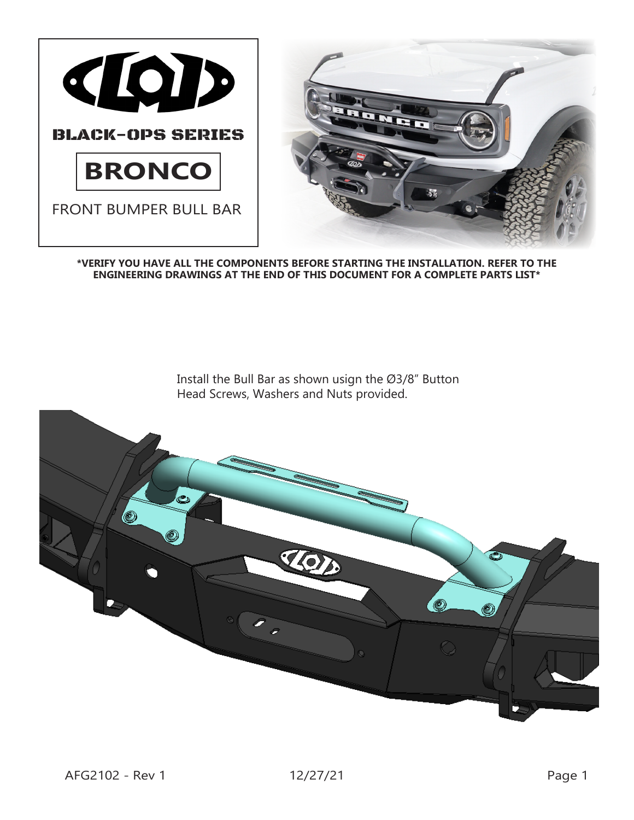

**\*VERIFY YOU HAVE ALL THE COMPONENTS BEFORE STARTING THE INSTALLATION. REFER TO THE ENGINEERING DRAWINGS AT THE END OF THIS DOCUMENT FOR A COMPLETE PARTS LIST\***

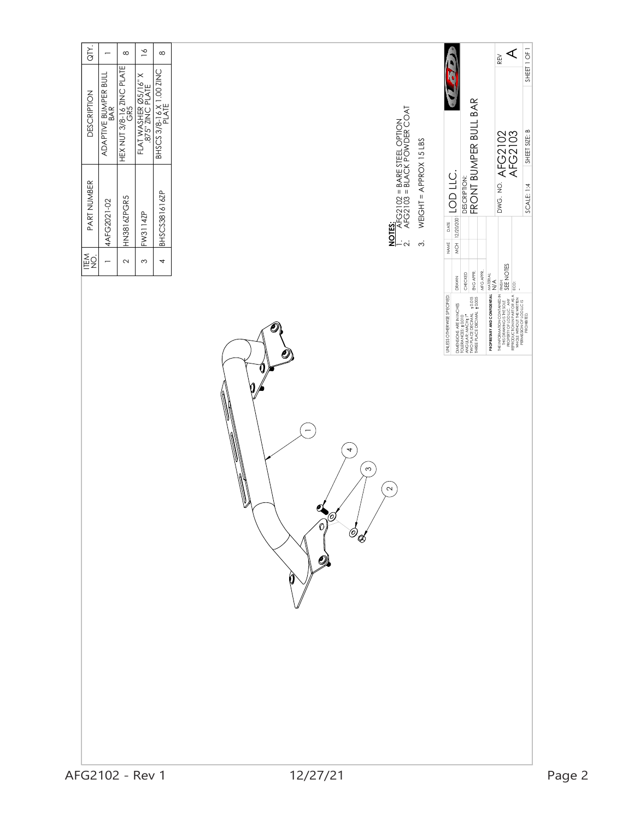| QTY.<br>$\geq$<br>$\infty$<br>$\infty$                                                                                                                                                               |                                                                                                                              | ⋖<br>REV                                                                                                                                                                                                                                                                                                                                                                                                                                 |        |
|------------------------------------------------------------------------------------------------------------------------------------------------------------------------------------------------------|------------------------------------------------------------------------------------------------------------------------------|------------------------------------------------------------------------------------------------------------------------------------------------------------------------------------------------------------------------------------------------------------------------------------------------------------------------------------------------------------------------------------------------------------------------------------------|--------|
| hex nut 3/8-16 zing plate<br>Gr5<br>BHSCS 3/8-16 X 1.00 ZINC<br>PLATE<br>ADAPTIVE BUMPER BULL<br>ADAPTIVE BUMPER BULL<br>FLAT WASHER $\varnothing$ 5/16" X<br>.875" ZINC PLATE<br><b>DESCRIPTION</b> |                                                                                                                              | SHEET 1 OF 1<br>FRONT BUMPER BULL BAR<br>SHEET SIZE: B                                                                                                                                                                                                                                                                                                                                                                                   |        |
| PART NUMBER<br>BHSCS381616ZP<br>HN3816ZPGR5<br>4AFG2021-02<br>FW3114ZP<br>NES.<br>NES<br>$\sim$<br>$\infty$<br>4<br>$\overline{\phantom{0}}$                                                         | <b>NOTES:</b><br>1. AFG2102 = BARE STEEL OPTION<br>2. AFG2103 = BLACK POWDER COAT<br>WEIGHT = APPROX 15 LBS<br>$\dot{\circ}$ | DWG. NO. AFG2102<br>AFG2103<br>$\frac{1}{2}$ MCH $\frac{1}{2}$ $\frac{1}{2}$ $\frac{1}{2}$ $\frac{1}{2}$ $\frac{1}{2}$ $\frac{1}{2}$ $\frac{1}{2}$ $\frac{1}{2}$ $\frac{1}{2}$ $\frac{1}{2}$<br>DESCRIPTION:<br>SCALE: 1:4<br>DATE<br>NAME                                                                                                                                                                                               |        |
|                                                                                                                                                                                                      | O<br>u<br>▓<br>4<br>$\infty$<br>$\mathbf{\Omega}$<br>W<br>Q<br>.Ø<br>Ó,                                                      | THE REO DRAMIDAN CONTAINED IN FIREE.<br>PROPERTY OF DUCTION IN SEE NOTES<br>PRODUCTION IN PARTORAS SEE NOTES<br>REPRODUCTION IN PARTORAS A ECO.<br>PERMISSION OF COULCUS<br>MFG APPR.<br>ENG APPR.<br>CHECKED<br>MATERIAL:<br>N/A<br>DRAWN<br>PROPRIETARY AND CONFIDENTIAL<br>UNLESS OTHERWISE SPECIFIED:<br>DMENSONS ARE IN INCHES<br>TOLERANCES: 40,010<br>TWO PLAC: MCCH+11<br>TWO PLAC: DECINAL 40,015<br>THREE PLACE DECIMAL 40,005 |        |
|                                                                                                                                                                                                      | $\phi_{\mathcal{A}}$<br>O)<br>O                                                                                              |                                                                                                                                                                                                                                                                                                                                                                                                                                          |        |
| AFG2102 - Rev 1                                                                                                                                                                                      | 12/27/21                                                                                                                     |                                                                                                                                                                                                                                                                                                                                                                                                                                          | Page 2 |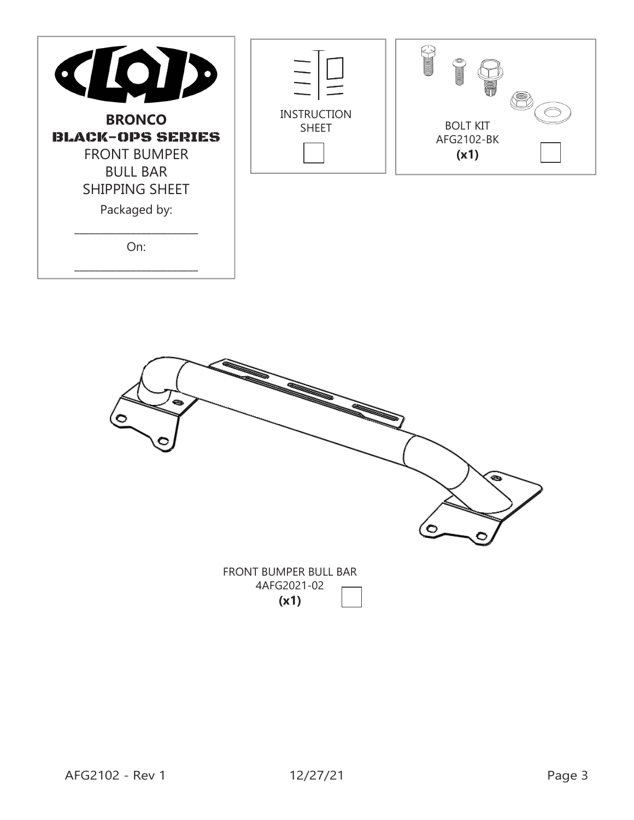| $\blacksquare$<br>$\mathbf{O}$<br>K<br>ID<br><b>BRONCO</b><br><b>BLACK-OPS SERIES</b><br><b>FRONT BUMPER</b><br><b>BULL BAR</b><br>SHIPPING SHEET<br>Packaged by:<br>On: | <b>INSTRUCTION</b><br><b>SHEET</b> | <b>CONTROL</b><br><b>CONTROLLER</b><br><b>BOLT KIT</b><br>AFG2102-BK<br>(x1) |
|--------------------------------------------------------------------------------------------------------------------------------------------------------------------------|------------------------------------|------------------------------------------------------------------------------|
|                                                                                                                                                                          |                                    |                                                                              |